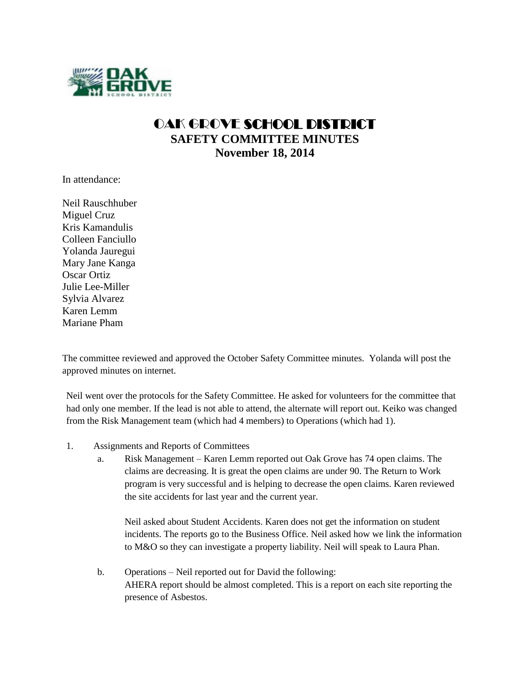

## OAK GROVE SCHOOL DISTRICT **SAFETY COMMITTEE MINUTES November 18, 2014**

In attendance:

Neil Rauschhuber Miguel Cruz Kris Kamandulis Colleen Fanciullo Yolanda Jauregui Mary Jane Kanga Oscar Ortiz Julie Lee-Miller Sylvia Alvarez Karen Lemm Mariane Pham

The committee reviewed and approved the October Safety Committee minutes. Yolanda will post the approved minutes on internet.

Neil went over the protocols for the Safety Committee. He asked for volunteers for the committee that had only one member. If the lead is not able to attend, the alternate will report out. Keiko was changed from the Risk Management team (which had 4 members) to Operations (which had 1).

- 1. Assignments and Reports of Committees
	- a. Risk Management Karen Lemm reported out Oak Grove has 74 open claims. The claims are decreasing. It is great the open claims are under 90. The Return to Work program is very successful and is helping to decrease the open claims. Karen reviewed the site accidents for last year and the current year.

Neil asked about Student Accidents. Karen does not get the information on student incidents. The reports go to the Business Office. Neil asked how we link the information to M&O so they can investigate a property liability. Neil will speak to Laura Phan.

b. Operations – Neil reported out for David the following: AHERA report should be almost completed. This is a report on each site reporting the presence of Asbestos.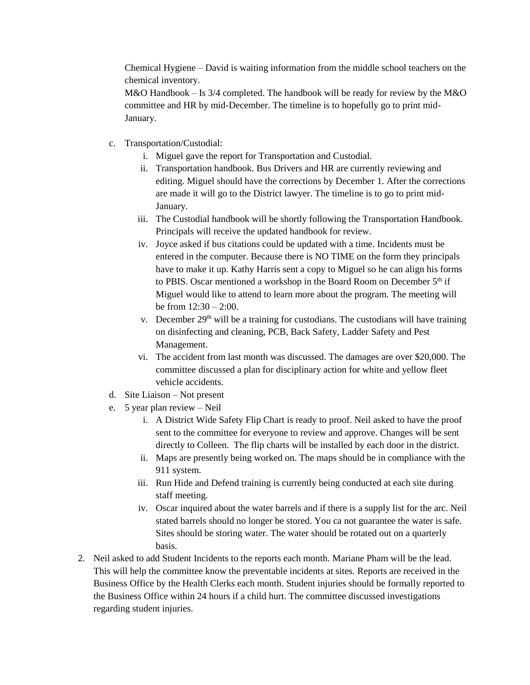Chemical Hygiene – David is waiting information from the middle school teachers on the chemical inventory.

M&O Handbook  $-$  Is 3/4 completed. The handbook will be ready for review by the M&O committee and HR by mid-December. The timeline is to hopefully go to print mid-January.

- c. Transportation/Custodial:
	- i. Miguel gave the report for Transportation and Custodial.
	- ii. Transportation handbook. Bus Drivers and HR are currently reviewing and editing. Miguel should have the corrections by December 1. After the corrections are made it will go to the District lawyer. The timeline is to go to print mid-January.
	- iii. The Custodial handbook will be shortly following the Transportation Handbook. Principals will receive the updated handbook for review.
	- iv. Joyce asked if bus citations could be updated with a time. Incidents must be entered in the computer. Because there is NO TIME on the form they principals have to make it up. Kathy Harris sent a copy to Miguel so he can align his forms to PBIS. Oscar mentioned a workshop in the Board Room on December 5<sup>th</sup> if Miguel would like to attend to learn more about the program. The meeting will be from  $12:30 - 2:00$ .
	- v. December 29<sup>th</sup> will be a training for custodians. The custodians will have training on disinfecting and cleaning, PCB, Back Safety, Ladder Safety and Pest Management.
	- vi. The accident from last month was discussed. The damages are over \$20,000. The committee discussed a plan for disciplinary action for white and yellow fleet vehicle accidents.
- d. Site Liaison Not present
- e. 5 year plan review Neil
	- i. A District Wide Safety Flip Chart is ready to proof. Neil asked to have the proof sent to the committee for everyone to review and approve. Changes will be sent directly to Colleen. The flip charts will be installed by each door in the district.
	- ii. Maps are presently being worked on. The maps should be in compliance with the 911 system.
	- iii. Run Hide and Defend training is currently being conducted at each site during staff meeting.
	- iv. Oscar inquired about the water barrels and if there is a supply list for the arc. Neil stated barrels should no longer be stored. You ca not guarantee the water is safe. Sites should be storing water. The water should be rotated out on a quarterly basis.
- 2. Neil asked to add Student Incidents to the reports each month. Mariane Pham will be the lead. This will help the committee know the preventable incidents at sites. Reports are received in the Business Office by the Health Clerks each month. Student injuries should be formally reported to the Business Office within 24 hours if a child hurt. The committee discussed investigations regarding student injuries.